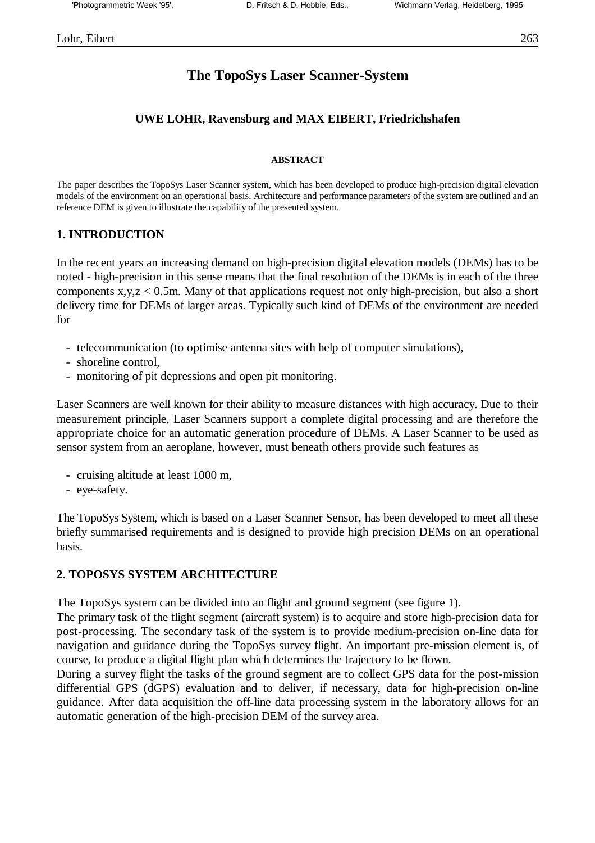# **The TopoSys Laser Scanner-System**

#### **UWE LOHR, Ravensburg and MAX EIBERT, Friedrichshafen**

#### **ABSTRACT**

The paper describes the TopoSys Laser Scanner system, which has been developed to produce high-precision digital elevation models of the environment on an operational basis. Architecture and performance parameters of the system are outlined and an reference DEM is given to illustrate the capability of the presented system.

#### **1. INTRODUCTION**

In the recent years an increasing demand on high-precision digital elevation models (DEMs) has to be noted - high-precision in this sense means that the final resolution of the DEMs is in each of the three components  $x,y,z < 0.5$ m. Many of that applications request not only high-precision, but also a short delivery time for DEMs of larger areas. Typically such kind of DEMs of the environment are needed for

- telecommunication (to optimise antenna sites with help of computer simulations),
- shoreline control,
- monitoring of pit depressions and open pit monitoring.

Laser Scanners are well known for their ability to measure distances with high accuracy. Due to their measurement principle, Laser Scanners support a complete digital processing and are therefore the appropriate choice for an automatic generation procedure of DEMs. A Laser Scanner to be used as sensor system from an aeroplane, however, must beneath others provide such features as

- cruising altitude at least 1000 m,
- eye-safety.

The TopoSys System, which is based on a Laser Scanner Sensor, has been developed to meet all these briefly summarised requirements and is designed to provide high precision DEMs on an operational basis.

#### **2. TOPOSYS SYSTEM ARCHITECTURE**

The TopoSys system can be divided into an flight and ground segment (see figure 1).

The primary task of the flight segment (aircraft system) is to acquire and store high-precision data for post-processing. The secondary task of the system is to provide medium-precision on-line data for navigation and guidance during the TopoSys survey flight. An important pre-mission element is, of course, to produce a digital flight plan which determines the trajectory to be flown.

During a survey flight the tasks of the ground segment are to collect GPS data for the post-mission differential GPS (dGPS) evaluation and to deliver, if necessary, data for high-precision on-line guidance. After data acquisition the off-line data processing system in the laboratory allows for an automatic generation of the high-precision DEM of the survey area.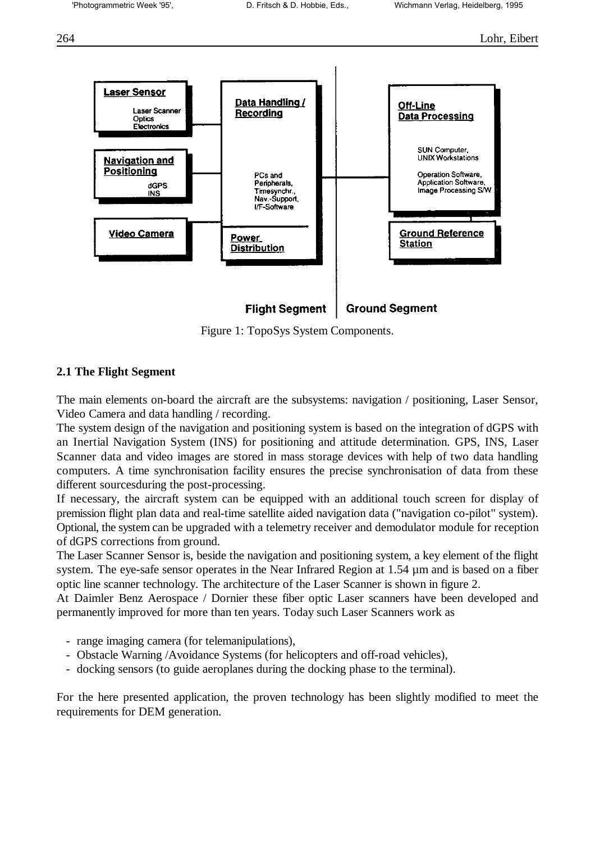

Figure 1: TopoSys System Components.

### **2.1 The Flight Segment**

The main elements on-board the aircraft are the subsystems: navigation / positioning, Laser Sensor, Video Camera and data handling / recording.

The system design of the navigation and positioning system is based on the integration of dGPS with an Inertial Navigation System (INS) for positioning and attitude determination. GPS, INS, Laser Scanner data and video images are stored in mass storage devices with help of two data handling computers. A time synchronisation facility ensures the precise synchronisation of data from these different sourcesduring the post-processing.

If necessary, the aircraft system can be equipped with an additional touch screen for display of premission flight plan data and real-time satellite aided navigation data ("navigation co-pilot" system). Optional, the system can be upgraded with a telemetry receiver and demodulator module for reception of dGPS corrections from ground.

The Laser Scanner Sensor is, beside the navigation and positioning system, a key element of the flight system. The eye-safe sensor operates in the Near Infrared Region at 1.54  $\mu$ m and is based on a fiber optic line scanner technology. The architecture of the Laser Scanner is shown in figure 2.

At Daimler Benz Aerospace / Dornier these fiber optic Laser scanners have been developed and permanently improved for more than ten years. Today such Laser Scanners work as

- range imaging camera (for telemanipulations),
- Obstacle Warning /Avoidance Systems (for helicopters and off-road vehicles),
- docking sensors (to guide aeroplanes during the docking phase to the terminal).

For the here presented application, the proven technology has been slightly modified to meet the requirements for DEM generation.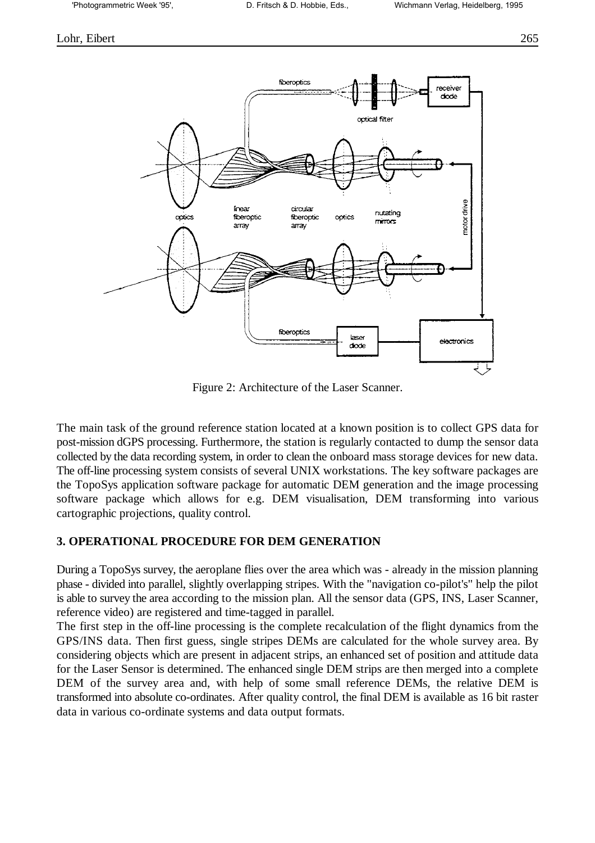#### Lohr, Eibert 265



Figure 2: Architecture of the Laser Scanner.

The main task of the ground reference station located at a known position is to collect GPS data for post-mission dGPS processing. Furthermore, the station is regularly contacted to dump the sensor data collected by the data recording system, in order to clean the onboard mass storage devices for new data. The off-line processing system consists of several UNIX workstations. The key software packages are the TopoSys application software package for automatic DEM generation and the image processing software package which allows for e.g. DEM visualisation, DEM transforming into various cartographic projections, quality control.

### **3. OPERATIONAL PROCEDURE FOR DEM GENERATION**

During a TopoSys survey, the aeroplane flies over the area which was - already in the mission planning phase - divided into parallel, slightly overlapping stripes. With the "navigation co-pilot's" help the pilot is able to survey the area according to the mission plan. All the sensor data (GPS, INS, Laser Scanner, reference video) are registered and time-tagged in parallel.

The first step in the off-line processing is the complete recalculation of the flight dynamics from the GPS/INS data. Then first guess, single stripes DEMs are calculated for the whole survey area. By considering objects which are present in adjacent strips, an enhanced set of position and attitude data for the Laser Sensor is determined. The enhanced single DEM strips are then merged into a complete DEM of the survey area and, with help of some small reference DEMs, the relative DEM is transformed into absolute co-ordinates. After quality control, the final DEM is available as 16 bit raster data in various co-ordinate systems and data output formats.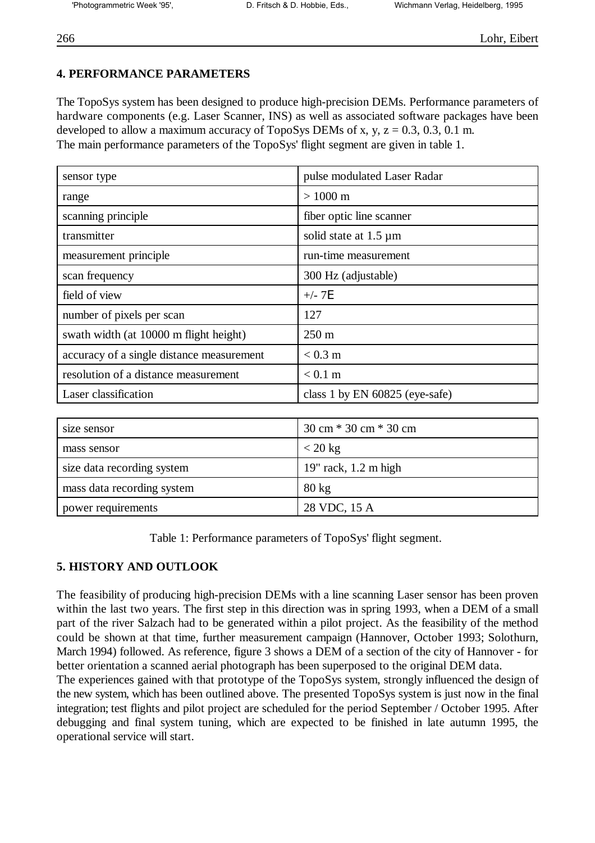## **4. PERFORMANCE PARAMETERS**

The TopoSys system has been designed to produce high-precision DEMs. Performance parameters of hardware components (e.g. Laser Scanner, INS) as well as associated software packages have been developed to allow a maximum accuracy of TopoSys DEMs of x, y,  $z = 0.3$ , 0.3, 0.1 m. The main performance parameters of the TopoSys' flight segment are given in table 1.

| sensor type                               | pulse modulated Laser Radar    |
|-------------------------------------------|--------------------------------|
| range                                     | $> 1000 \text{ m}$             |
| scanning principle                        | fiber optic line scanner       |
| transmitter                               | solid state at $1.5 \mu m$     |
| measurement principle                     | run-time measurement           |
| scan frequency                            | 300 Hz (adjustable)            |
| field of view                             | $+/- 7E$                       |
| number of pixels per scan                 | 127                            |
| swath width (at 10000 m flight height)    | $250 \text{ m}$                |
| accuracy of a single distance measurement | $< 0.3 \text{ m}$              |
| resolution of a distance measurement      | $< 0.1$ m                      |
| Laser classification                      | class 1 by EN 60825 (eye-safe) |

| size sensor                | $30 \text{ cm} * 30 \text{ cm} * 30 \text{ cm}$ |
|----------------------------|-------------------------------------------------|
| mass sensor                | $<$ 20 kg                                       |
| size data recording system | $19$ " rack, 1.2 m high                         |
| mass data recording system | $80 \text{ kg}$                                 |
| power requirements         | 28 VDC, 15 A                                    |

Table 1: Performance parameters of TopoSys' flight segment.

## **5. HISTORY AND OUTLOOK**

The feasibility of producing high-precision DEMs with a line scanning Laser sensor has been proven within the last two years. The first step in this direction was in spring 1993, when a DEM of a small part of the river Salzach had to be generated within a pilot project. As the feasibility of the method could be shown at that time, further measurement campaign (Hannover, October 1993; Solothurn, March 1994) followed. As reference, figure 3 shows a DEM of a section of the city of Hannover - for better orientation a scanned aerial photograph has been superposed to the original DEM data.

The experiences gained with that prototype of the TopoSys system, strongly influenced the design of the new system, which has been outlined above. The presented TopoSys system is just now in the final integration; test flights and pilot project are scheduled for the period September / October 1995. After debugging and final system tuning, which are expected to be finished in late autumn 1995, the operational service will start.